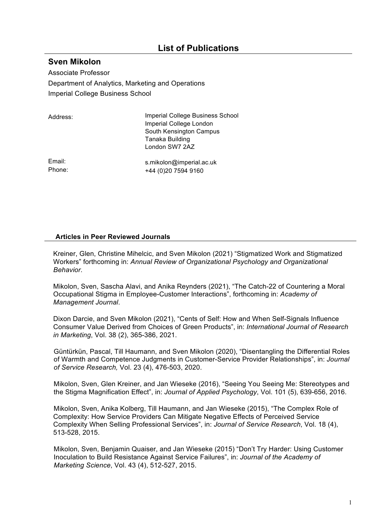## **List of Publications**

## **Sven Mikolon**

Associate Professor Department of Analytics, Marketing and Operations Imperial College Business School

| Address: | Imperial College Business School |
|----------|----------------------------------|
|          | Imperial College London          |
|          | South Kensington Campus          |
|          | Tanaka Building                  |
|          | London SW7 2AZ                   |
|          |                                  |

Email: Phone: s.mikolon@imperial.ac.uk +44 (0)20 7594 9160

## **Articles in Peer Reviewed Journals**

Kreiner, Glen, Christine Mihelcic, and Sven Mikolon (2021) "Stigmatized Work and Stigmatized Workers" forthcoming in: *Annual Review of Organizational Psychology and Organizational Behavior*.

Mikolon, Sven, Sascha Alavi, and Anika Reynders (2021), "The Catch-22 of Countering a Moral Occupational Stigma in Employee-Customer Interactions", forthcoming in: *Academy of Management Journal*.

Dixon Darcie, and Sven Mikolon (2021), "Cents of Self: How and When Self-Signals Influence Consumer Value Derived from Choices of Green Products", in: *International Journal of Research in Marketing*, Vol. 38 (2), 365-386, 2021.

Güntürkün, Pascal, Till Haumann, and Sven Mikolon (2020), "Disentangling the Differential Roles of Warmth and Competence Judgments in Customer-Service Provider Relationships", in: *Journal of Service Research,* Vol. 23 (4), 476-503, 2020.

Mikolon, Sven, Glen Kreiner, and Jan Wieseke (2016), "Seeing You Seeing Me: Stereotypes and the Stigma Magnification Effect", in: *Journal of Applied Psychology*, Vol. 101 (5), 639-656, 2016.

Mikolon, Sven, Anika Kolberg, Till Haumann, and Jan Wieseke (2015), "The Complex Role of Complexity: How Service Providers Can Mitigate Negative Effects of Perceived Service Complexity When Selling Professional Services", in: *Journal of Service Research*, Vol. 18 (4), 513-528, 2015.

Mikolon, Sven, Benjamin Quaiser, and Jan Wieseke (2015) "Don't Try Harder: Using Customer Inoculation to Build Resistance Against Service Failures", in: *Journal of the Academy of Marketing Science*, Vol. 43 (4), 512-527, 2015.